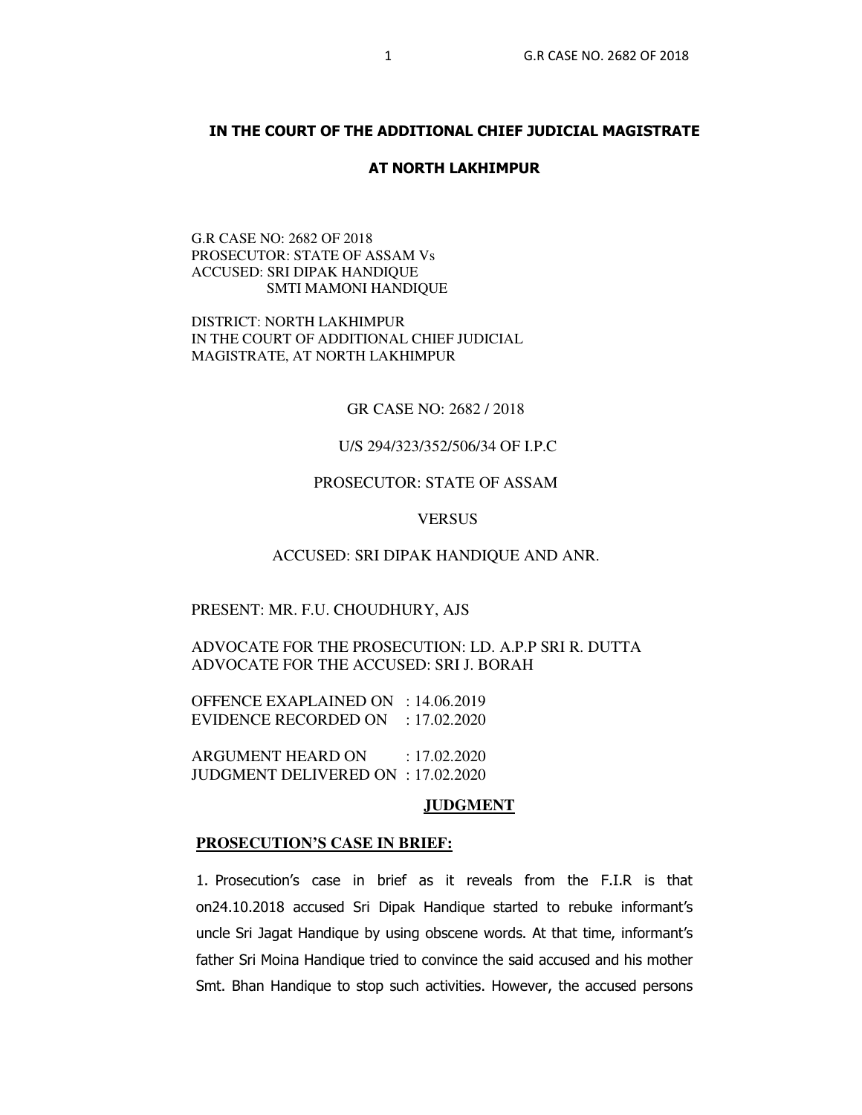# **IN THE COURT OF THE ADDITIONAL CHIEF JUDICIAL MAGISTRATE**

## **AT NORTH LAKHIMPUR**

G.R CASE NO: 2682 OF 2018 PROSECUTOR: STATE OF ASSAM Vs ACCUSED: SRI DIPAK HANDIQUE SMTI MAMONI HANDIQUE

DISTRICT: NORTH LAKHIMPUR IN THE COURT OF ADDITIONAL CHIEF JUDICIAL MAGISTRATE, AT NORTH LAKHIMPUR

# GR CASE NO: 2682 / 2018

# U/S 294/323/352/506/34 OF I.P.C

# PROSECUTOR: STATE OF ASSAM

# **VERSUS**

#### ACCUSED: SRI DIPAK HANDIQUE AND ANR.

#### PRESENT: MR. F.U. CHOUDHURY, AJS

ADVOCATE FOR THE PROSECUTION: LD. A.P.P SRI R. DUTTA ADVOCATE FOR THE ACCUSED: SRI J. BORAH

OFFENCE EXAPLAINED ON : 14.06.2019 EVIDENCE RECORDED ON : 17.02.2020

ARGUMENT HEARD ON : 17.02.2020 JUDGMENT DELIVERED ON : 17.02.2020

# **JUDGMENT**

#### **PROSECUTION'S CASE IN BRIEF:**

1. Prosecution's case in brief as it reveals from the F.I.R is that on24.10.2018 accused Sri Dipak Handique started to rebuke informant's uncle Sri Jagat Handique by using obscene words. At that time, informant's father Sri Moina Handique tried to convince the said accused and his mother Smt. Bhan Handique to stop such activities. However, the accused persons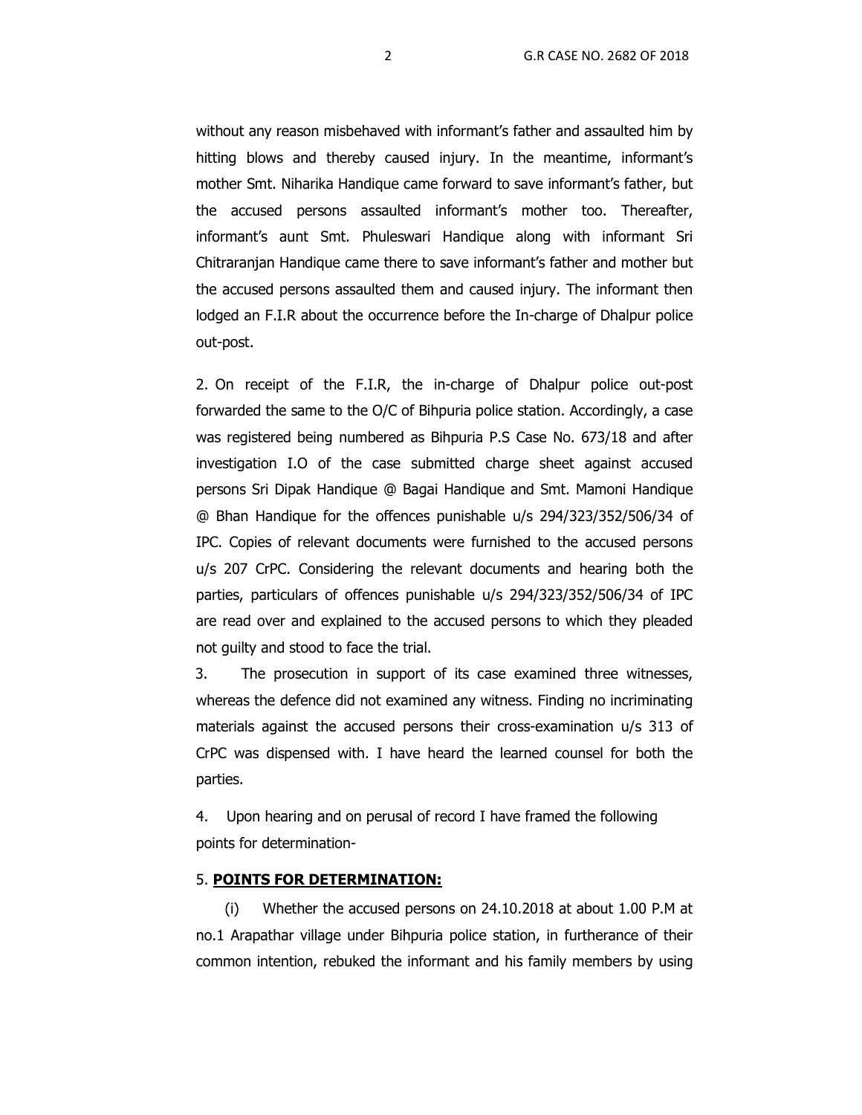without any reason misbehaved with informant's father and assaulted him by hitting blows and thereby caused injury. In the meantime, informant's mother Smt. Niharika Handique came forward to save informant's father, but the accused persons assaulted informant's mother too. Thereafter, informant's aunt Smt. Phuleswari Handique along with informant Sri Chitraranjan Handique came there to save informant's father and mother but the accused persons assaulted them and caused injury. The informant then lodged an F.I.R about the occurrence before the In-charge of Dhalpur police out-post.

2. On receipt of the F.I.R, the in-charge of Dhalpur police out-post forwarded the same to the O/C of Bihpuria police station. Accordingly, a case was registered being numbered as Bihpuria P.S Case No. 673/18 and after investigation I.O of the case submitted charge sheet against accused persons Sri Dipak Handique @ Bagai Handique and Smt. Mamoni Handique @ Bhan Handique for the offences punishable u/s 294/323/352/506/34 of IPC. Copies of relevant documents were furnished to the accused persons u/s 207 CrPC. Considering the relevant documents and hearing both the parties, particulars of offences punishable u/s 294/323/352/506/34 of IPC are read over and explained to the accused persons to which they pleaded not guilty and stood to face the trial.

 3. The prosecution in support of its case examined three witnesses, whereas the defence did not examined any witness. Finding no incriminating materials against the accused persons their cross-examination u/s 313 of CrPC was dispensed with. I have heard the learned counsel for both the parties.

4. Upon hearing and on perusal of record I have framed the following points for determination-

## 5. **POINTS FOR DETERMINATION:**

(i) Whether the accused persons on 24.10.2018 at about 1.00 P.M at no.1 Arapathar village under Bihpuria police station, in furtherance of their common intention, rebuked the informant and his family members by using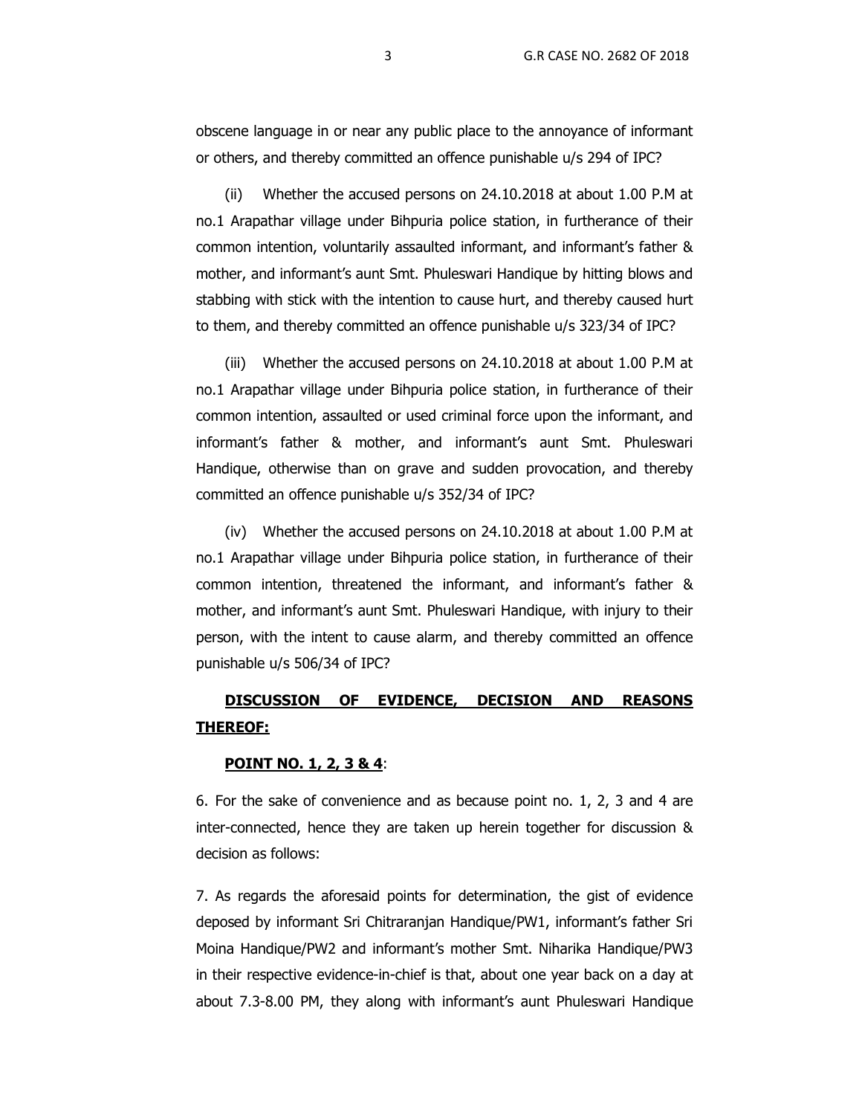obscene language in or near any public place to the annoyance of informant or others, and thereby committed an offence punishable u/s 294 of IPC?

(ii) Whether the accused persons on 24.10.2018 at about 1.00 P.M at no.1 Arapathar village under Bihpuria police station, in furtherance of their common intention, voluntarily assaulted informant, and informant's father & mother, and informant's aunt Smt. Phuleswari Handique by hitting blows and stabbing with stick with the intention to cause hurt, and thereby caused hurt to them, and thereby committed an offence punishable u/s 323/34 of IPC?

(iii) Whether the accused persons on 24.10.2018 at about 1.00 P.M at no.1 Arapathar village under Bihpuria police station, in furtherance of their common intention, assaulted or used criminal force upon the informant, and informant's father & mother, and informant's aunt Smt. Phuleswari Handique, otherwise than on grave and sudden provocation, and thereby committed an offence punishable u/s 352/34 of IPC?

(iv) Whether the accused persons on 24.10.2018 at about 1.00 P.M at no.1 Arapathar village under Bihpuria police station, in furtherance of their common intention, threatened the informant, and informant's father & mother, and informant's aunt Smt. Phuleswari Handique, with injury to their person, with the intent to cause alarm, and thereby committed an offence punishable u/s 506/34 of IPC?

# **DISCUSSION OF EVIDENCE, DECISION AND REASONS THEREOF:**

## **POINT NO. 1, 2, 3 & 4**:

6. For the sake of convenience and as because point no. 1, 2, 3 and 4 are inter-connected, hence they are taken up herein together for discussion & decision as follows:

7. As regards the aforesaid points for determination, the gist of evidence deposed by informant Sri Chitraranjan Handique/PW1, informant's father Sri Moina Handique/PW2 and informant's mother Smt. Niharika Handique/PW3 in their respective evidence-in-chief is that, about one year back on a day at about 7.3-8.00 PM, they along with informant's aunt Phuleswari Handique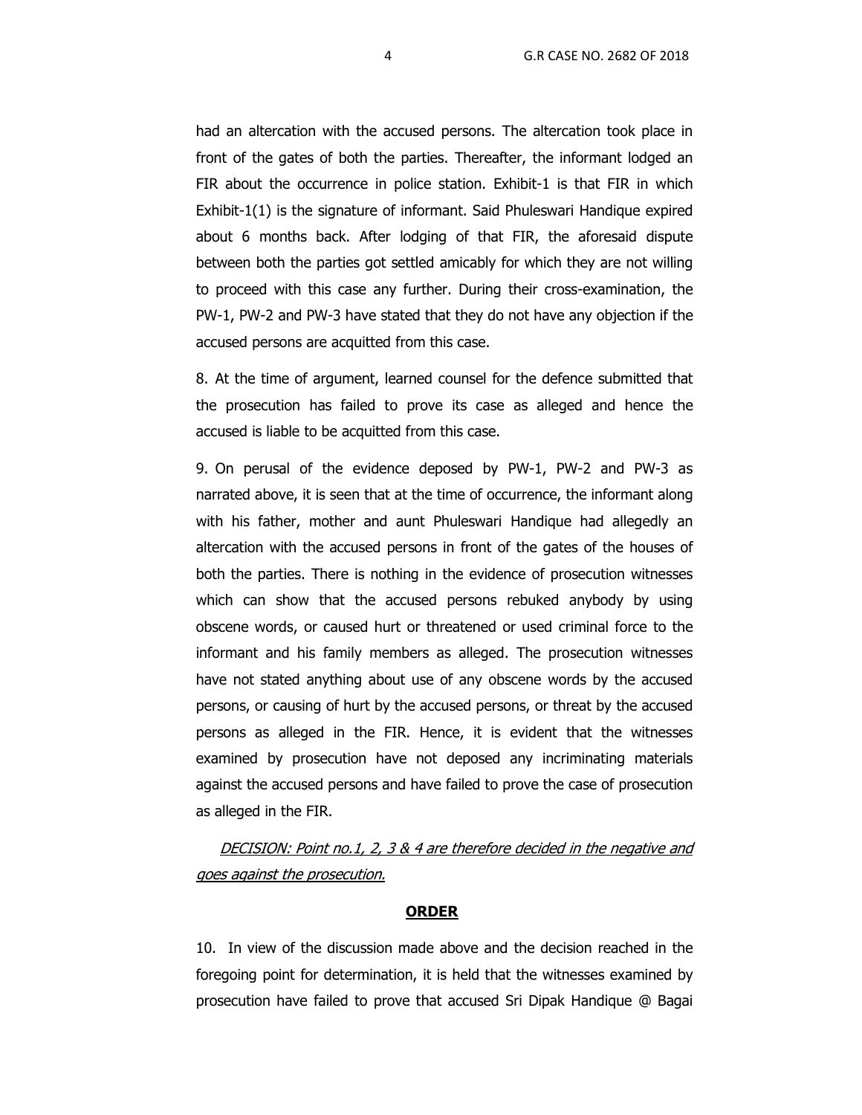had an altercation with the accused persons. The altercation took place in front of the gates of both the parties. Thereafter, the informant lodged an FIR about the occurrence in police station. Exhibit-1 is that FIR in which Exhibit-1(1) is the signature of informant. Said Phuleswari Handique expired about 6 months back. After lodging of that FIR, the aforesaid dispute between both the parties got settled amicably for which they are not willing to proceed with this case any further. During their cross-examination, the PW-1, PW-2 and PW-3 have stated that they do not have any objection if the accused persons are acquitted from this case.

8. At the time of argument, learned counsel for the defence submitted that the prosecution has failed to prove its case as alleged and hence the accused is liable to be acquitted from this case.

9. On perusal of the evidence deposed by PW-1, PW-2 and PW-3 as narrated above, it is seen that at the time of occurrence, the informant along with his father, mother and aunt Phuleswari Handique had allegedly an altercation with the accused persons in front of the gates of the houses of both the parties. There is nothing in the evidence of prosecution witnesses which can show that the accused persons rebuked anybody by using obscene words, or caused hurt or threatened or used criminal force to the informant and his family members as alleged. The prosecution witnesses have not stated anything about use of any obscene words by the accused persons, or causing of hurt by the accused persons, or threat by the accused persons as alleged in the FIR. Hence, it is evident that the witnesses examined by prosecution have not deposed any incriminating materials against the accused persons and have failed to prove the case of prosecution as alleged in the FIR.

DECISION: Point no.1, 2, 3 & 4 are therefore decided in the negative and goes against the prosecution.

## **ORDER**

10. In view of the discussion made above and the decision reached in the foregoing point for determination, it is held that the witnesses examined by prosecution have failed to prove that accused Sri Dipak Handique @ Bagai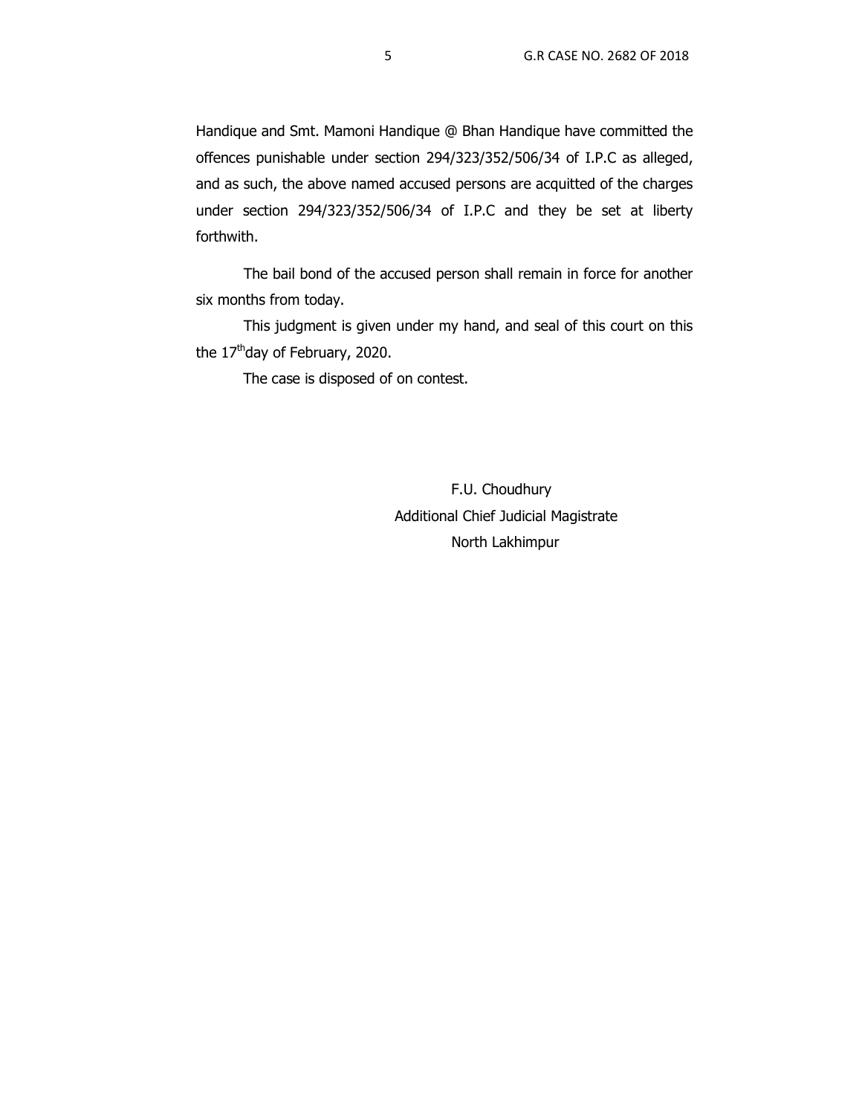Handique and Smt. Mamoni Handique @ Bhan Handique have committed the offences punishable under section 294/323/352/506/34 of I.P.C as alleged, and as such, the above named accused persons are acquitted of the charges under section 294/323/352/506/34 of I.P.C and they be set at liberty forthwith.

The bail bond of the accused person shall remain in force for another six months from today.

This judgment is given under my hand, and seal of this court on this the  $17<sup>th</sup>$ day of February, 2020.

The case is disposed of on contest.

 F.U. Choudhury Additional Chief Judicial Magistrate North Lakhimpur